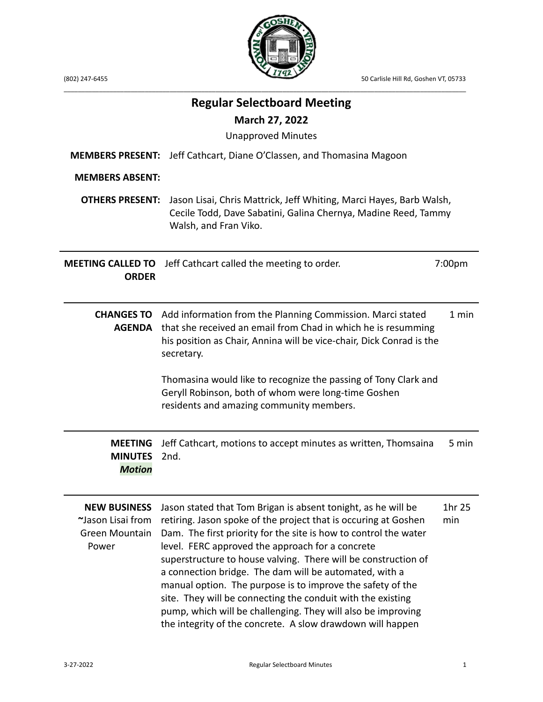

(802) 247-6455 50 Carlisle Hill Rd, Goshen VT, 05733

|                                                                            | <b>Regular Selectboard Meeting</b><br><b>March 27, 2022</b><br><b>Unapproved Minutes</b>                                                                                                                                                                                                                                                                                                                                                                                                                                                                                                                                                        |                    |
|----------------------------------------------------------------------------|-------------------------------------------------------------------------------------------------------------------------------------------------------------------------------------------------------------------------------------------------------------------------------------------------------------------------------------------------------------------------------------------------------------------------------------------------------------------------------------------------------------------------------------------------------------------------------------------------------------------------------------------------|--------------------|
| <b>MEMBERS PRESENT:</b><br><b>MEMBERS ABSENT:</b>                          | Jeff Cathcart, Diane O'Classen, and Thomasina Magoon                                                                                                                                                                                                                                                                                                                                                                                                                                                                                                                                                                                            |                    |
| <b>OTHERS PRESENT:</b>                                                     | Jason Lisai, Chris Mattrick, Jeff Whiting, Marci Hayes, Barb Walsh,<br>Cecile Todd, Dave Sabatini, Galina Chernya, Madine Reed, Tammy<br>Walsh, and Fran Viko.                                                                                                                                                                                                                                                                                                                                                                                                                                                                                  |                    |
| <b>MEETING CALLED TO</b><br><b>ORDER</b>                                   | Jeff Cathcart called the meeting to order.                                                                                                                                                                                                                                                                                                                                                                                                                                                                                                                                                                                                      | 7:00 <sub>pm</sub> |
| <b>AGENDA</b>                                                              | <b>CHANGES TO</b> Add information from the Planning Commission. Marci stated<br>that she received an email from Chad in which he is resumming<br>his position as Chair, Annina will be vice-chair, Dick Conrad is the<br>secretary.<br>Thomasina would like to recognize the passing of Tony Clark and<br>Geryll Robinson, both of whom were long-time Goshen<br>residents and amazing community members.                                                                                                                                                                                                                                       | 1 min              |
| <b>MEETING</b><br><b>MINUTES</b><br><b>Motion</b>                          | Jeff Cathcart, motions to accept minutes as written, Thomsaina<br>2nd.                                                                                                                                                                                                                                                                                                                                                                                                                                                                                                                                                                          | 5 min              |
| <b>NEW BUSINESS</b><br>~Jason Lisai from<br><b>Green Mountain</b><br>Power | Jason stated that Tom Brigan is absent tonight, as he will be<br>retiring. Jason spoke of the project that is occuring at Goshen<br>Dam. The first priority for the site is how to control the water<br>level. FERC approved the approach for a concrete<br>superstructure to house valving. There will be construction of<br>a connection bridge. The dam will be automated, with a<br>manual option. The purpose is to improve the safety of the<br>site. They will be connecting the conduit with the existing<br>pump, which will be challenging. They will also be improving<br>the integrity of the concrete. A slow drawdown will happen | 1hr 25<br>min      |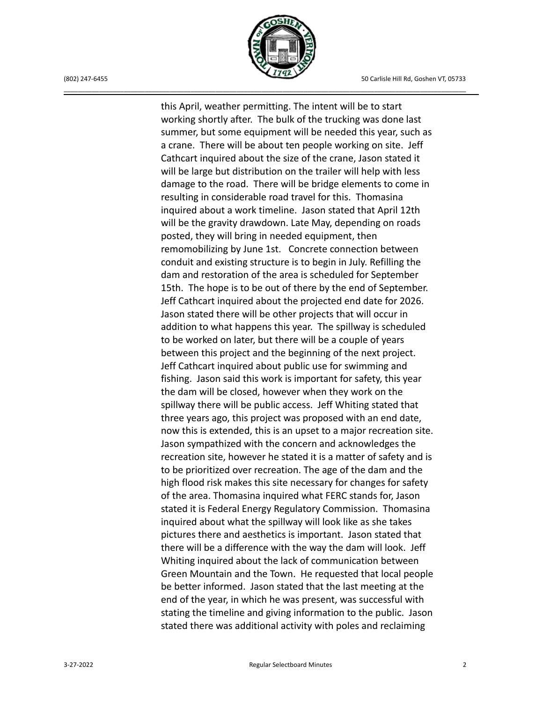

this April, weather permitting. The intent will be to start working shortly after. The bulk of the trucking was done last summer, but some equipment will be needed this year, such as a crane. There will be about ten people working on site. Jeff Cathcart inquired about the size of the crane, Jason stated it will be large but distribution on the trailer will help with less damage to the road. There will be bridge elements to come in resulting in considerable road travel for this. Thomasina inquired about a work timeline. Jason stated that April 12th will be the gravity drawdown. Late May, depending on roads posted, they will bring in needed equipment, then remomobilizing by June 1st. Concrete connection between conduit and existing structure is to begin in July. Refilling the dam and restoration of the area is scheduled for September 15th. The hope is to be out of there by the end of September. Jeff Cathcart inquired about the projected end date for 2026. Jason stated there will be other projects that will occur in addition to what happens this year. The spillway is scheduled to be worked on later, but there will be a couple of years between this project and the beginning of the next project. Jeff Cathcart inquired about public use for swimming and fishing. Jason said this work is important for safety, this year the dam will be closed, however when they work on the spillway there will be public access. Jeff Whiting stated that three years ago, this project was proposed with an end date, now this is extended, this is an upset to a major recreation site. Jason sympathized with the concern and acknowledges the recreation site, however he stated it is a matter of safety and is to be prioritized over recreation. The age of the dam and the high flood risk makes this site necessary for changes for safety of the area. Thomasina inquired what FERC stands for, Jason stated it is Federal Energy Regulatory Commission. Thomasina inquired about what the spillway will look like as she takes pictures there and aesthetics is important. Jason stated that there will be a difference with the way the dam will look. Jeff Whiting inquired about the lack of communication between Green Mountain and the Town. He requested that local people be better informed. Jason stated that the last meeting at the end of the year, in which he was present, was successful with stating the timeline and giving information to the public. Jason stated there was additional activity with poles and reclaiming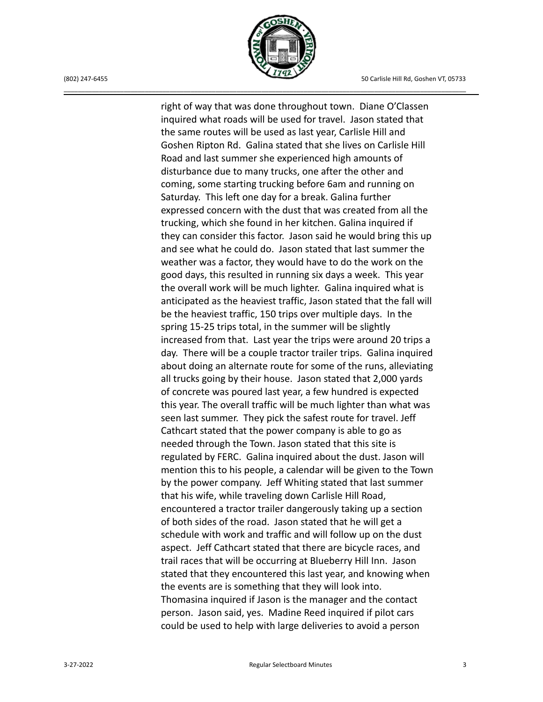

right of way that was done throughout town. Diane O'Classen inquired what roads will be used for travel. Jason stated that the same routes will be used as last year, Carlisle Hill and Goshen Ripton Rd. Galina stated that she lives on Carlisle Hill Road and last summer she experienced high amounts of disturbance due to many trucks, one after the other and coming, some starting trucking before 6am and running on Saturday. This left one day for a break. Galina further expressed concern with the dust that was created from all the trucking, which she found in her kitchen. Galina inquired if they can consider this factor. Jason said he would bring this up and see what he could do. Jason stated that last summer the weather was a factor, they would have to do the work on the good days, this resulted in running six days a week. This year the overall work will be much lighter. Galina inquired what is anticipated as the heaviest traffic, Jason stated that the fall will be the heaviest traffic, 150 trips over multiple days. In the spring 15-25 trips total, in the summer will be slightly increased from that. Last year the trips were around 20 trips a day. There will be a couple tractor trailer trips. Galina inquired about doing an alternate route for some of the runs, alleviating all trucks going by their house. Jason stated that 2,000 yards of concrete was poured last year, a few hundred is expected this year. The overall traffic will be much lighter than what was seen last summer. They pick the safest route for travel. Jeff Cathcart stated that the power company is able to go as needed through the Town. Jason stated that this site is regulated by FERC. Galina inquired about the dust. Jason will mention this to his people, a calendar will be given to the Town by the power company. Jeff Whiting stated that last summer that his wife, while traveling down Carlisle Hill Road, encountered a tractor trailer dangerously taking up a section of both sides of the road. Jason stated that he will get a schedule with work and traffic and will follow up on the dust aspect. Jeff Cathcart stated that there are bicycle races, and trail races that will be occurring at Blueberry Hill Inn. Jason stated that they encountered this last year, and knowing when the events are is something that they will look into. Thomasina inquired if Jason is the manager and the contact person. Jason said, yes. Madine Reed inquired if pilot cars could be used to help with large deliveries to avoid a person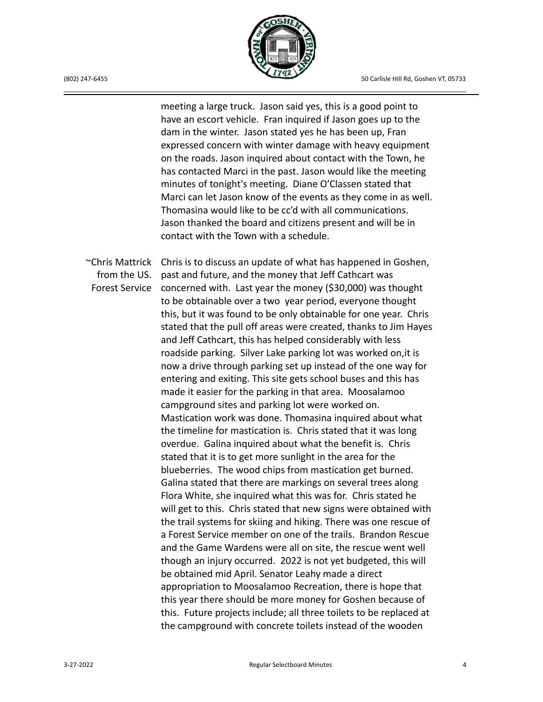

meeting a large truck. Jason said yes, this is a good point to have an escort vehicle. Fran inquired if Jason goes up to the dam in the winter. Jason stated yes he has been up, Fran expressed concern with winter damage with heavy equipment on the roads. Jason inquired about contact with the Town, he has contacted Marci in the past. Jason would like the meeting minutes of tonight's meeting. Diane O'Classen stated that Marci can let Jason know of the events as they come in as well. Thomasina would like to be cc'd with all communications. Jason thanked the board and citizens present and will be in contact with the Town with a schedule.

from the US.

 $\sim$ Chris Mattrick Chris is to discuss an update of what has happened in Goshen, Forest Service concerned with. Last year the money (\$30,000) was thought past and future, and the money that Jeff Cathcart was to be obtainable over a two year period, everyone thought this, but it was found to be only obtainable for one year. Chris stated that the pull off areas were created, thanks to Jim Hayes and Jeff Cathcart, this has helped considerably with less roadside parking. Silver Lake parking lot was worked on,it is now a drive through parking set up instead of the one way for entering and exiting. This site gets school buses and this has made it easier for the parking in that area. Moosalamoo campground sites and parking lot were worked on. Mastication work was done. Thomasina inquired about what the timeline for mastication is. Chris stated that it was long overdue. Galina inquired about what the benefit is. Chris stated that it is to get more sunlight in the area for the blueberries. The wood chips from mastication get burned. Galina stated that there are markings on several trees along Flora White, she inquired what this was for. Chris stated he will get to this. Chris stated that new signs were obtained with the trail systems for skiing and hiking. There was one rescue of a Forest Service member on one of the trails. Brandon Rescue and the Game Wardens were all on site, the rescue went well though an injury occurred. 2022 is not yet budgeted, this will be obtained mid April. Senator Leahy made a direct appropriation to Moosalamoo Recreation, there is hope that this year there should be more money for Goshen because of this. Future projects include; all three toilets to be replaced at the campground with concrete toilets instead of the wooden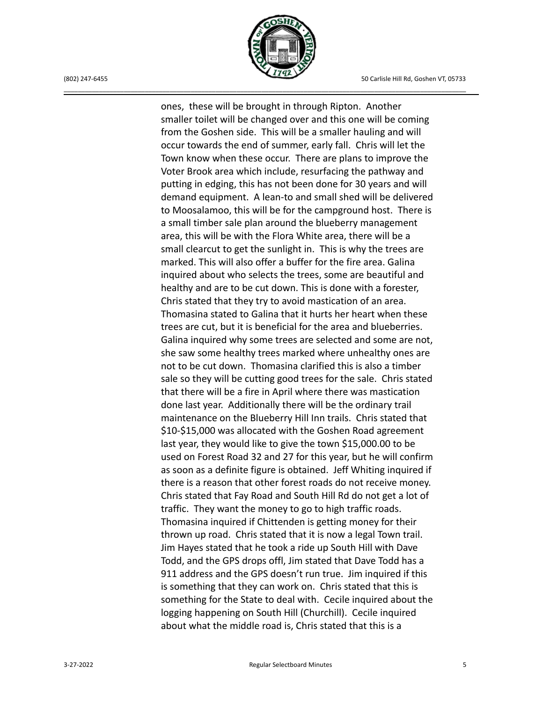

(802) 247-6455 50 Carlisle Hill Rd, Goshen VT, 05733

ones, these will be brought in through Ripton. Another smaller toilet will be changed over and this one will be coming from the Goshen side. This will be a smaller hauling and will occur towards the end of summer, early fall. Chris will let the Town know when these occur. There are plans to improve the Voter Brook area which include, resurfacing the pathway and putting in edging, this has not been done for 30 years and will demand equipment. A lean-to and small shed will be delivered to Moosalamoo, this will be for the campground host. There is a small timber sale plan around the blueberry management area, this will be with the Flora White area, there will be a small clearcut to get the sunlight in. This is why the trees are marked. This will also offer a buffer for the fire area. Galina inquired about who selects the trees, some are beautiful and healthy and are to be cut down. This is done with a forester, Chris stated that they try to avoid mastication of an area. Thomasina stated to Galina that it hurts her heart when these trees are cut, but it is beneficial for the area and blueberries. Galina inquired why some trees are selected and some are not, she saw some healthy trees marked where unhealthy ones are not to be cut down. Thomasina clarified this is also a timber sale so they will be cutting good trees for the sale. Chris stated that there will be a fire in April where there was mastication done last year. Additionally there will be the ordinary trail maintenance on the Blueberry Hill Inn trails. Chris stated that \$10-\$15,000 was allocated with the Goshen Road agreement last year, they would like to give the town \$15,000.00 to be used on Forest Road 32 and 27 for this year, but he will confirm as soon as a definite figure is obtained. Jeff Whiting inquired if there is a reason that other forest roads do not receive money. Chris stated that Fay Road and South Hill Rd do not get a lot of traffic. They want the money to go to high traffic roads. Thomasina inquired if Chittenden is getting money for their thrown up road. Chris stated that it is now a legal Town trail. Jim Hayes stated that he took a ride up South Hill with Dave Todd, and the GPS drops offl, Jim stated that Dave Todd has a 911 address and the GPS doesn't run true. Jim inquired if this is something that they can work on. Chris stated that this is something for the State to deal with. Cecile inquired about the logging happening on South Hill (Churchill). Cecile inquired about what the middle road is, Chris stated that this is a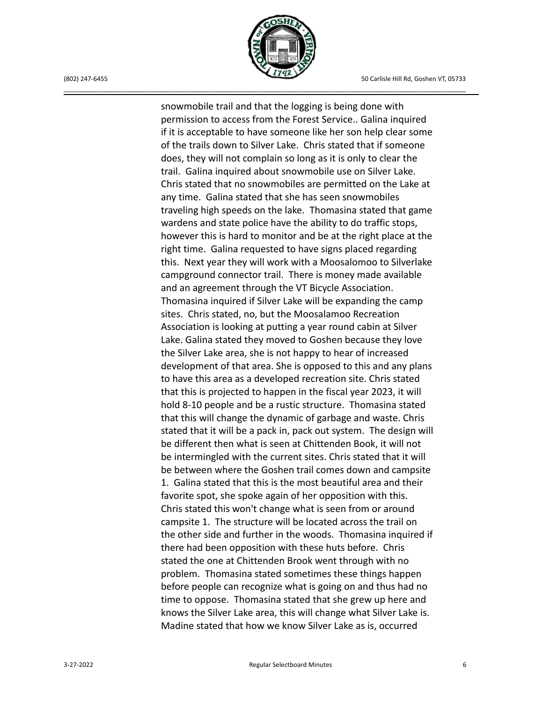

snowmobile trail and that the logging is being done with permission to access from the Forest Service.. Galina inquired if it is acceptable to have someone like her son help clear some of the trails down to Silver Lake. Chris stated that if someone does, they will not complain so long as it is only to clear the trail. Galina inquired about snowmobile use on Silver Lake. Chris stated that no snowmobiles are permitted on the Lake at any time. Galina stated that she has seen snowmobiles traveling high speeds on the lake. Thomasina stated that game wardens and state police have the ability to do traffic stops, however this is hard to monitor and be at the right place at the right time. Galina requested to have signs placed regarding this. Next year they will work with a Moosalomoo to Silverlake campground connector trail. There is money made available and an agreement through the VT Bicycle Association. Thomasina inquired if Silver Lake will be expanding the camp sites. Chris stated, no, but the Moosalamoo Recreation Association is looking at putting a year round cabin at Silver Lake. Galina stated they moved to Goshen because they love the Silver Lake area, she is not happy to hear of increased development of that area. She is opposed to this and any plans to have this area as a developed recreation site. Chris stated that this is projected to happen in the fiscal year 2023, it will hold 8-10 people and be a rustic structure. Thomasina stated that this will change the dynamic of garbage and waste. Chris stated that it will be a pack in, pack out system. The design will be different then what is seen at Chittenden Book, it will not be intermingled with the current sites. Chris stated that it will be between where the Goshen trail comes down and campsite 1. Galina stated that this is the most beautiful area and their favorite spot, she spoke again of her opposition with this. Chris stated this won't change what is seen from or around campsite 1. The structure will be located across the trail on the other side and further in the woods. Thomasina inquired if there had been opposition with these huts before. Chris stated the one at Chittenden Brook went through with no problem. Thomasina stated sometimes these things happen before people can recognize what is going on and thus had no time to oppose. Thomasina stated that she grew up here and knows the Silver Lake area, this will change what Silver Lake is. Madine stated that how we know Silver Lake as is, occurred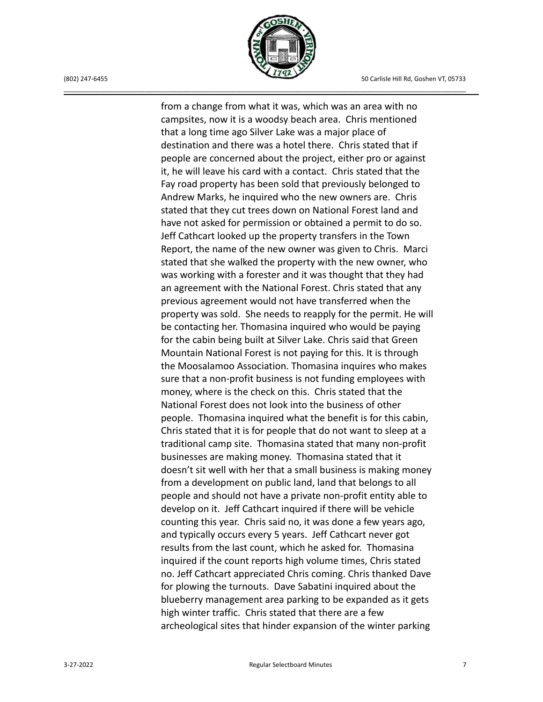

from a change from what it was, which was an area with no campsites, now it is a woodsy beach area. Chris mentioned that a long time ago Silver Lake was a major place of destination and there was a hotel there. Chris stated that if people are concerned about the project, either pro or against it, he will leave his card with a contact. Chris stated that the Fay road property has been sold that previously belonged to Andrew Marks, he inquired who the new owners are. Chris stated that they cut trees down on National Forest land and have not asked for permission or obtained a permit to do so. Jeff Cathcart looked up the property transfers in the Town Report, the name of the new owner was given to Chris. Marci stated that she walked the property with the new owner, who was working with a forester and it was thought that they had an agreement with the National Forest. Chris stated that any previous agreement would not have transferred when the property was sold. She needs to reapply for the permit. He will be contacting her. Thomasina inquired who would be paying for the cabin being built at Silver Lake. Chris said that Green Mountain National Forest is not paying for this. It is through the Moosalamoo Association. Thomasina inquires who makes sure that a non-profit business is not funding employees with money, where is the check on this. Chris stated that the National Forest does not look into the business of other people. Thomasina inquired what the benefit is for this cabin, Chris stated that it is for people that do not want to sleep at a traditional camp site. Thomasina stated that many non-profit businesses are making money. Thomasina stated that it doesn't sit well with her that a small business is making money from a development on public land, land that belongs to all people and should not have a private non-profit entity able to develop on it. Jeff Cathcart inquired if there will be vehicle counting this year. Chris said no, it was done a few years ago, and typically occurs every 5 years. Jeff Cathcart never got results from the last count, which he asked for. Thomasina inquired if the count reports high volume times, Chris stated no. Jeff Cathcart appreciated Chris coming. Chris thanked Dave for plowing the turnouts. Dave Sabatini inquired about the blueberry management area parking to be expanded as it gets high winter traffic. Chris stated that there are a few archeological sites that hinder expansion of the winter parking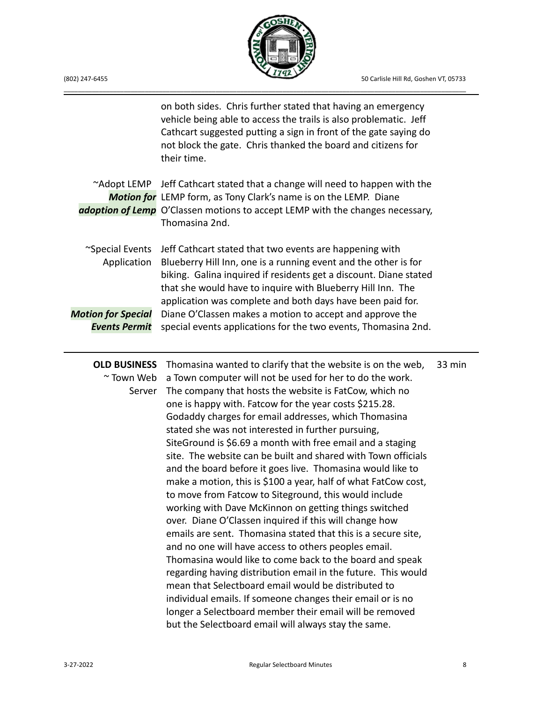

|  | (802) 247-6455 |
|--|----------------|
|  |                |

|                                                   | on both sides. Chris further stated that having an emergency<br>vehicle being able to access the trails is also problematic. Jeff<br>Cathcart suggested putting a sign in front of the gate saying do<br>not block the gate. Chris thanked the board and citizens for<br>their time.                                         |        |
|---------------------------------------------------|------------------------------------------------------------------------------------------------------------------------------------------------------------------------------------------------------------------------------------------------------------------------------------------------------------------------------|--------|
|                                                   | ~Adopt LEMP Jeff Cathcart stated that a change will need to happen with the<br>Motion for LEMP form, as Tony Clark's name is on the LEMP. Diane<br>adoption of Lemp O'Classen motions to accept LEMP with the changes necessary,<br>Thomasina 2nd.                                                                           |        |
| ~Special Events<br>Application                    | Jeff Cathcart stated that two events are happening with<br>Blueberry Hill Inn, one is a running event and the other is for<br>biking. Galina inquired if residents get a discount. Diane stated<br>that she would have to inquire with Blueberry Hill Inn. The<br>application was complete and both days have been paid for. |        |
| <b>Motion for Special</b><br><b>Events Permit</b> | Diane O'Classen makes a motion to accept and approve the<br>special events applications for the two events, Thomasina 2nd.                                                                                                                                                                                                   |        |
| <b>OLD BUSINESS</b>                               | Thomasina wanted to clarify that the website is on the web,                                                                                                                                                                                                                                                                  | 33 min |
| ~ Town Web                                        | a Town computer will not be used for her to do the work.                                                                                                                                                                                                                                                                     |        |
| Server                                            | The company that hosts the website is FatCow, which no                                                                                                                                                                                                                                                                       |        |
|                                                   | one is happy with. Fatcow for the year costs \$215.28.                                                                                                                                                                                                                                                                       |        |
|                                                   | Godaddy charges for email addresses, which Thomasina                                                                                                                                                                                                                                                                         |        |
|                                                   | stated she was not interested in further pursuing,                                                                                                                                                                                                                                                                           |        |
|                                                   | SiteGround is \$6.69 a month with free email and a staging                                                                                                                                                                                                                                                                   |        |
|                                                   | site. The website can be built and shared with Town officials                                                                                                                                                                                                                                                                |        |
|                                                   | and the board before it goes live. Thomasina would like to                                                                                                                                                                                                                                                                   |        |
|                                                   | make a motion, this is \$100 a year, half of what FatCow cost,                                                                                                                                                                                                                                                               |        |
|                                                   | to move from Fatcow to Siteground, this would include                                                                                                                                                                                                                                                                        |        |
|                                                   | working with Dave McKinnon on getting things switched                                                                                                                                                                                                                                                                        |        |
|                                                   | over. Diane O'Classen inquired if this will change how                                                                                                                                                                                                                                                                       |        |
|                                                   | emails are sent. Thomasina stated that this is a secure site,                                                                                                                                                                                                                                                                |        |
|                                                   | and no one will have access to others peoples email.                                                                                                                                                                                                                                                                         |        |
|                                                   | Thomasina would like to come back to the board and speak                                                                                                                                                                                                                                                                     |        |
|                                                   | regarding having distribution email in the future. This would                                                                                                                                                                                                                                                                |        |
|                                                   | mean that Selectboard email would be distributed to                                                                                                                                                                                                                                                                          |        |
|                                                   | individual emails. If someone changes their email or is no                                                                                                                                                                                                                                                                   |        |
|                                                   | longer a Selectboard member their email will be removed                                                                                                                                                                                                                                                                      |        |
|                                                   | but the Selectboard email will always stay the same.                                                                                                                                                                                                                                                                         |        |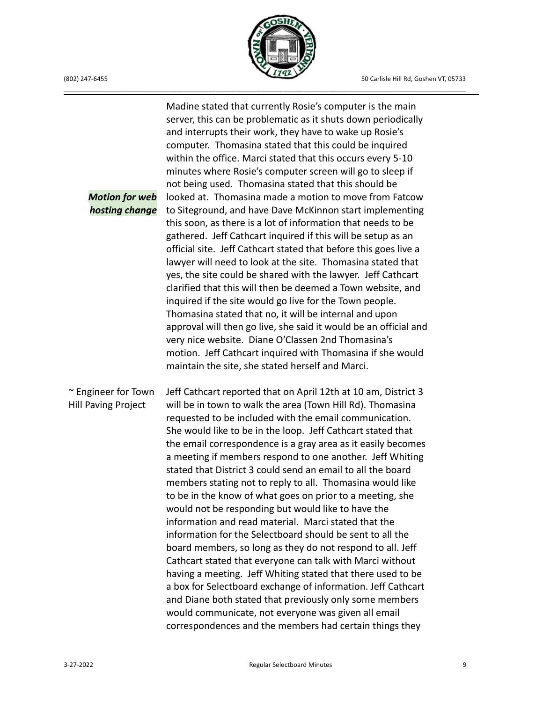

*Motion for web hosting change* ~ Engineer for Town Hill Paving Project Madine stated that currently Rosie's computer is the main server, this can be problematic as it shuts down periodically and interrupts their work, they have to wake up Rosie's computer. Thomasina stated that this could be inquired within the office. Marci stated that this occurs every 5-10 minutes where Rosie's computer screen will go to sleep if not being used. Thomasina stated that this should be looked at. Thomasina made a motion to move from Fatcow to Siteground, and have Dave McKinnon start implementing this soon, as there is a lot of information that needs to be gathered. Jeff Cathcart inquired if this will be setup as an official site. Jeff Cathcart stated that before this goes live a lawyer will need to look at the site. Thomasina stated that yes, the site could be shared with the lawyer. Jeff Cathcart clarified that this will then be deemed a Town website, and inquired if the site would go live for the Town people. Thomasina stated that no, it will be internal and upon approval will then go live, she said it would be an official and very nice website. Diane O'Classen 2nd Thomasina's motion. Jeff Cathcart inquired with Thomasina if she would maintain the site, she stated herself and Marci. Jeff Cathcart reported that on April 12th at 10 am, District 3 will be in town to walk the area (Town Hill Rd). Thomasina requested to be included with the email communication. She would like to be in the loop. Jeff Cathcart stated that the email correspondence is a gray area as it easily becomes a meeting if members respond to one another. Jeff Whiting stated that District 3 could send an email to all the board members stating not to reply to all. Thomasina would like to be in the know of what goes on prior to a meeting, she would not be responding but would like to have the information and read material. Marci stated that the information for the Selectboard should be sent to all the board members, so long as they do not respond to all. Jeff Cathcart stated that everyone can talk with Marci without having a meeting. Jeff Whiting stated that there used to be a box for Selectboard exchange of information. Jeff Cathcart and Diane both stated that previously only some members would communicate, not everyone was given all email correspondences and the members had certain things they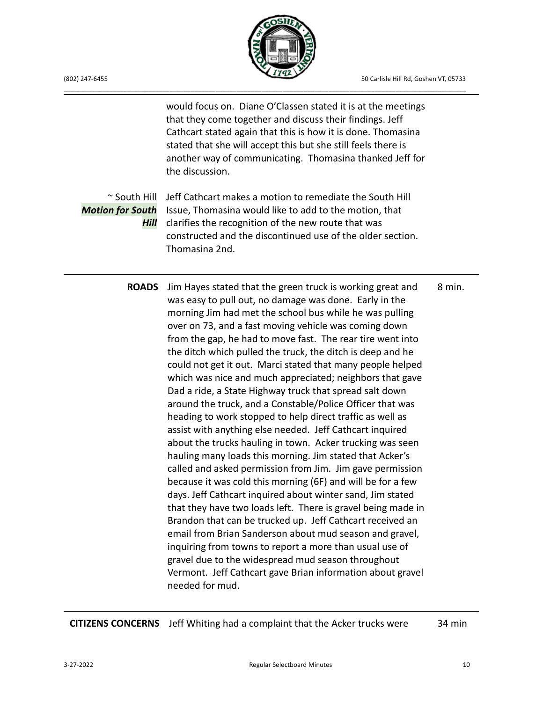

~ South Hill Jeff Cathcart makes a motion to remediate the South Hill *Motion for South* Issue, Thomasina would like to add to the motion, that *Hill* clarifies the recognition of the new route that was would focus on. Diane O'Classen stated it is at the meetings that they come together and discuss their findings. Jeff Cathcart stated again that this is how it is done. Thomasina stated that she will accept this but she still feels there is another way of communicating. Thomasina thanked Jeff for the discussion. constructed and the discontinued use of the older section. Thomasina 2nd. **ROADS** Jim Hayes stated that the green truck is working great and was easy to pull out, no damage was done. Early in the morning Jim had met the school bus while he was pulling over on 73, and a fast moving vehicle was coming down from the gap, he had to move fast. The rear tire went into the ditch which pulled the truck, the ditch is deep and he could not get it out. Marci stated that many people helped which was nice and much appreciated; neighbors that gave Dad a ride, a State Highway truck that spread salt down around the truck, and a Constable/Police Officer that was heading to work stopped to help direct traffic as well as assist with anything else needed. Jeff Cathcart inquired about the trucks hauling in town. Acker trucking was seen hauling many loads this morning. Jim stated that Acker's called and asked permission from Jim. Jim gave permission because it was cold this morning (6F) and will be for a few days. Jeff Cathcart inquired about winter sand, Jim stated that they have two loads left. There is gravel being made in Brandon that can be trucked up. Jeff Cathcart received an email from Brian Sanderson about mud season and gravel, inquiring from towns to report a more than usual use of gravel due to the widespread mud season throughout Vermont. Jeff Cathcart gave Brian information about gravel needed for mud. 8 min.

**CITIZENS CONCERNS** Jeff Whiting had a complaint that the Acker trucks were 34 min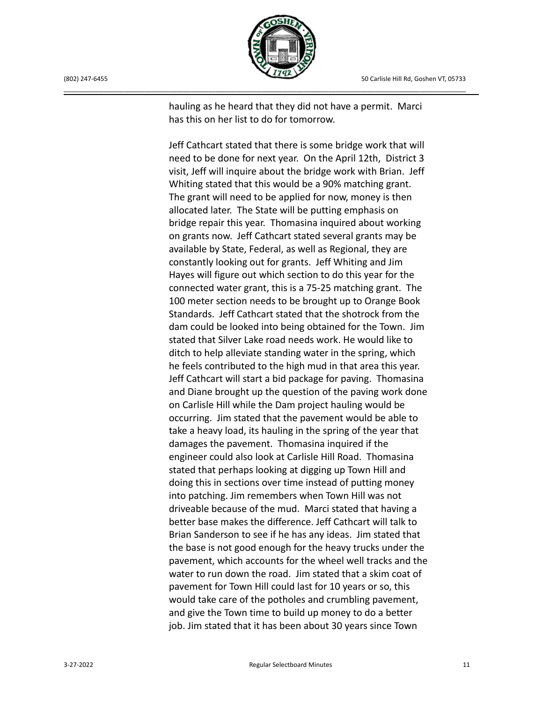

(802) 247-6455 50 Carlisle Hill Rd, Goshen VT, 05733

hauling as he heard that they did not have a permit. Marci has this on her list to do for tomorrow.

Jeff Cathcart stated that there is some bridge work that will need to be done for next year. On the April 12th, District 3 visit, Jeff will inquire about the bridge work with Brian. Jeff Whiting stated that this would be a 90% matching grant. The grant will need to be applied for now, money is then allocated later. The State will be putting emphasis on bridge repair this year. Thomasina inquired about working on grants now. Jeff Cathcart stated several grants may be available by State, Federal, as well as Regional, they are constantly looking out for grants. Jeff Whiting and Jim Hayes will figure out which section to do this year for the connected water grant, this is a 75-25 matching grant. The 100 meter section needs to be brought up to Orange Book Standards. Jeff Cathcart stated that the shotrock from the dam could be looked into being obtained for the Town. Jim stated that Silver Lake road needs work. He would like to ditch to help alleviate standing water in the spring, which he feels contributed to the high mud in that area this year. Jeff Cathcart will start a bid package for paving. Thomasina and Diane brought up the question of the paving work done on Carlisle Hill while the Dam project hauling would be occurring. Jim stated that the pavement would be able to take a heavy load, its hauling in the spring of the year that damages the pavement. Thomasina inquired if the engineer could also look at Carlisle Hill Road. Thomasina stated that perhaps looking at digging up Town Hill and doing this in sections over time instead of putting money into patching. Jim remembers when Town Hill was not driveable because of the mud. Marci stated that having a better base makes the difference. Jeff Cathcart will talk to Brian Sanderson to see if he has any ideas. Jim stated that the base is not good enough for the heavy trucks under the pavement, which accounts for the wheel well tracks and the water to run down the road. Jim stated that a skim coat of pavement for Town Hill could last for 10 years or so, this would take care of the potholes and crumbling pavement, and give the Town time to build up money to do a better job. Jim stated that it has been about 30 years since Town